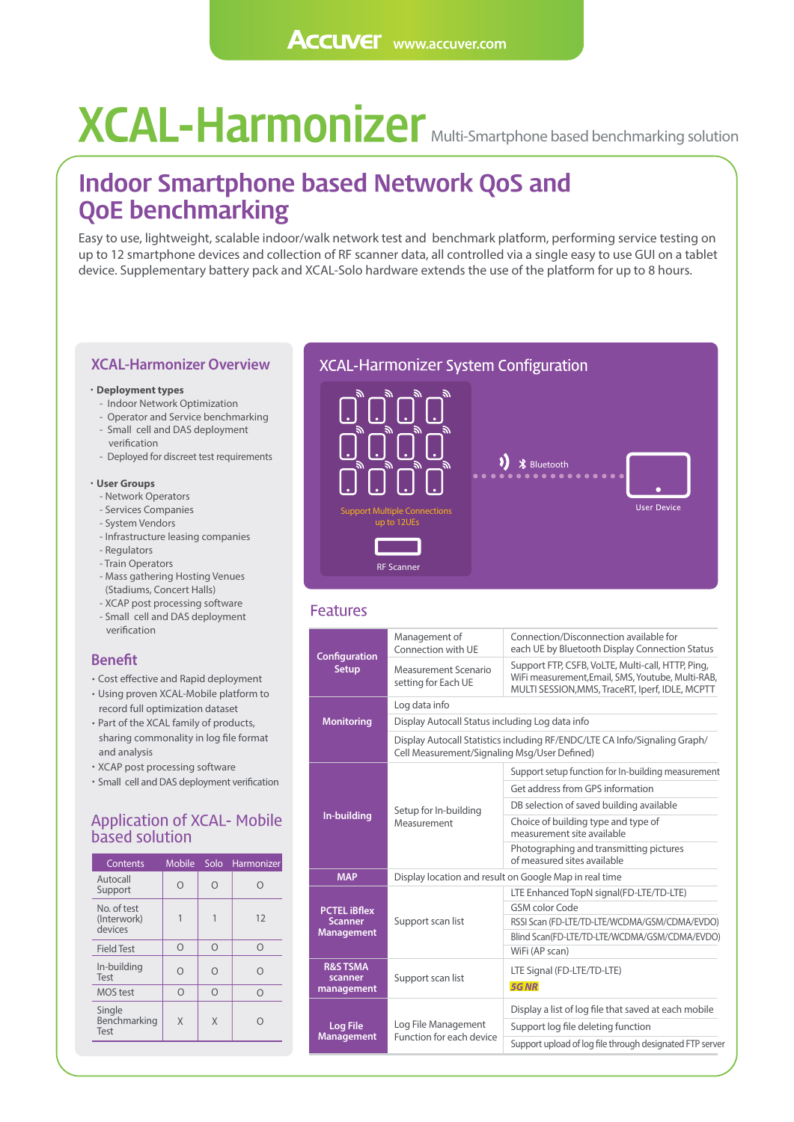# **XCAL-Harmonizer** Multi-Smartphone based benchmarking solution

### **Indoor Smartphone based Network QoS and QoE benchmarking**

Easy to use, lightweight, scalable indoor/walk network test and benchmark platform, performing service testing on up to 12 smartphone devices and collection of RF scanner data, all controlled via a single easy to use GUI on a tablet device. Supplementary battery pack and XCAL-Solo hardware extends the use of the platform for up to 8 hours.

#### **XCAL-Harmonizer Overview**

#### **Deployment types**

- Indoor Network Optimization
- Operator and Service benchmarking - Small cell and DAS deployment
- verification
- Deployed for discreet test requirements

#### **User Groups**

- Network Operators
- Services Companies
- System Vendors
- Infrastructure leasing companies - Regulators
- Train Operators
- Mass gathering Hosting Venues (Stadiums, Concert Halls)
- XCAP post processing software - Small cell and DAS deployment verification

- **BENEFIT CONFIGURATION**<br>
Cost effective and Rapid deployment
- Using proven XCAL-Mobile platform to record full optimization dataset
- Part of the XCAL family of products, sharing commonality in log file format and analysis
- XCAP post processing software
- Small cell and DAS deployment verification

#### Application of XCAL- Mobile based solution

| Contents                              | Mobile   | Solo     | Harmonizer |
|---------------------------------------|----------|----------|------------|
| Autocall<br>Support                   |          | $\Omega$ | ∩          |
| No. of test<br>(Interwork)<br>devices |          |          | 12         |
| <b>Field Test</b>                     | $\Omega$ | $\cap$   | $\Omega$   |
| In-building<br>Test                   |          | ∩        | ∩          |
| <b>MOS</b> test                       | Ω        | $\cap$   | $\Omega$   |
| Single<br>Benchmarking<br>Test        | Χ        | Χ        |            |

#### XCAL-Harmonizer System Configuration



#### **Features**

| <b>Configuration</b><br><b>Setup</b>                       | Management of<br>Connection with UE                                                                                        | Connection/Disconnection available for<br>each UE by Bluetooth Display Connection Status                                                                  |  |  |
|------------------------------------------------------------|----------------------------------------------------------------------------------------------------------------------------|-----------------------------------------------------------------------------------------------------------------------------------------------------------|--|--|
|                                                            | Measurement Scenario<br>setting for Each UE                                                                                | Support FTP, CSFB, VoLTE, Multi-call, HTTP, Ping,<br>WiFi measurement, Email, SMS, Youtube, Multi-RAB,<br>MULTI SESSION, MMS, TraceRT, Iperf, IDLE, MCPTT |  |  |
| <b>Monitoring</b>                                          | Log data info                                                                                                              |                                                                                                                                                           |  |  |
|                                                            | Display Autocall Status including Log data info                                                                            |                                                                                                                                                           |  |  |
|                                                            | Display Autocall Statistics including RF/ENDC/LTE CA Info/Signaling Graph/<br>Cell Measurement/Signaling Msg/User Defined) |                                                                                                                                                           |  |  |
| In-building                                                | Setup for In-building<br>Measurement                                                                                       | Support setup function for In-building measurement                                                                                                        |  |  |
|                                                            |                                                                                                                            | Get address from GPS information                                                                                                                          |  |  |
|                                                            |                                                                                                                            | DB selection of saved building available                                                                                                                  |  |  |
|                                                            |                                                                                                                            | Choice of building type and type of<br>measurement site available                                                                                         |  |  |
|                                                            |                                                                                                                            | Photographing and transmitting pictures<br>of measured sites available                                                                                    |  |  |
| <b>MAP</b>                                                 | Display location and result on Google Map in real time                                                                     |                                                                                                                                                           |  |  |
| <b>PCTEL iBflex</b><br><b>Scanner</b><br><b>Management</b> | Support scan list                                                                                                          | LTE Enhanced TopN signal(FD-LTE/TD-LTE)                                                                                                                   |  |  |
|                                                            |                                                                                                                            | <b>GSM</b> color Code                                                                                                                                     |  |  |
|                                                            |                                                                                                                            | RSSI Scan (FD-LTE/TD-LTE/WCDMA/GSM/CDMA/EVDO)                                                                                                             |  |  |
|                                                            |                                                                                                                            | Blind Scan(FD-LTE/TD-LTE/WCDMA/GSM/CDMA/EVDO)                                                                                                             |  |  |
|                                                            |                                                                                                                            | WiFi (AP scan)                                                                                                                                            |  |  |
| <b>R&amp;S TSMA</b><br>scanner<br>management               | Support scan list                                                                                                          | LTE Signal (FD-LTE/TD-LTE)<br><b>5G NR</b>                                                                                                                |  |  |
| <b>Log File</b><br><b>Management</b>                       | Log File Management<br>Function for each device                                                                            | Display a list of log file that saved at each mobile                                                                                                      |  |  |
|                                                            |                                                                                                                            | Support log file deleting function                                                                                                                        |  |  |
|                                                            |                                                                                                                            | Support upload of log file through designated FTP server                                                                                                  |  |  |
|                                                            |                                                                                                                            |                                                                                                                                                           |  |  |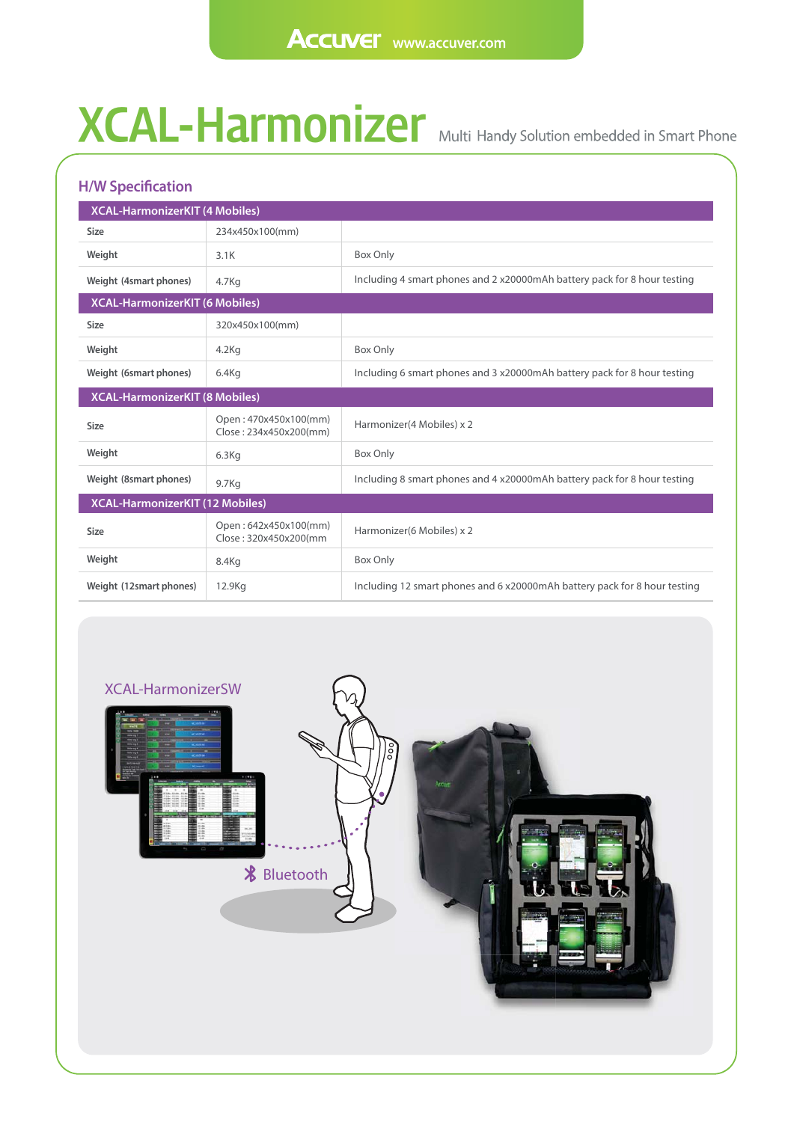## **XCAL-Harmonizer** Multi

| <b>H/W Specification</b>              |                                                 |                                                                           |  |  |
|---------------------------------------|-------------------------------------------------|---------------------------------------------------------------------------|--|--|
| <b>XCAL-HarmonizerKIT (4 Mobiles)</b> |                                                 |                                                                           |  |  |
| <b>Size</b>                           | 234x450x100(mm)                                 |                                                                           |  |  |
| Weight                                | 3.1K                                            | Box Only                                                                  |  |  |
| Weight (4smart phones)                | 4.7Kg                                           | Including 4 smart phones and 2 x20000mAh battery pack for 8 hour testing  |  |  |
| <b>XCAL-HarmonizerKIT (6 Mobiles)</b> |                                                 |                                                                           |  |  |
| <b>Size</b>                           | 320x450x100(mm)                                 |                                                                           |  |  |
| Weight                                | $4.2$ Kg                                        | Box Only                                                                  |  |  |
| Weight (6smart phones)                | 6.4Kq                                           | Including 6 smart phones and 3 x20000mAh battery pack for 8 hour testing  |  |  |
| <b>XCAL-HarmonizerKIT (8 Mobiles)</b> |                                                 |                                                                           |  |  |
| <b>Size</b>                           | Open: 470x450x100(mm)<br>Close: 234x450x200(mm) | Harmonizer(4 Mobiles) x 2                                                 |  |  |
| Weight                                | 6.3Kg                                           | Box Only                                                                  |  |  |
| Weight (8smart phones)                | 9.7Kg                                           | Including 8 smart phones and 4 x20000mAh battery pack for 8 hour testing  |  |  |
| XCAL-HarmonizerKIT (12 Mobiles)       |                                                 |                                                                           |  |  |
| <b>Size</b>                           | Open: 642x450x100(mm)<br>Close: 320x450x200(mm  | Harmonizer(6 Mobiles) x 2                                                 |  |  |
| Weight                                | 8.4Kg                                           | Box Only                                                                  |  |  |
| Weight (12smart phones)               | 12.9Kg                                          | Including 12 smart phones and 6 x20000mAh battery pack for 8 hour testing |  |  |